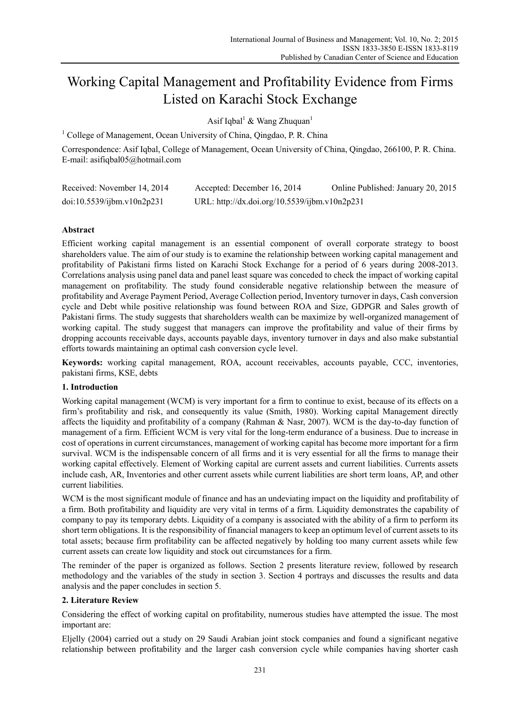# Working Capital Management and Profitability Evidence from Firms Listed on Karachi Stock Exchange

Asif Iqbal<sup>1</sup> & Wang Zhuquan<sup>1</sup>

<sup>1</sup> College of Management, Ocean University of China, Qingdao, P. R. China

Correspondence: Asif Iqbal, College of Management, Ocean University of China, Qingdao, 266100, P. R. China. E-mail: asifiqbal05@hotmail.com

| Received: November 14, 2014 | Accepted: December 16, 2014                   | Online Published: January 20, 2015 |
|-----------------------------|-----------------------------------------------|------------------------------------|
| doi:10.5539/ijbm.v10n2p231  | URL: http://dx.doi.org/10.5539/ijbm.v10n2p231 |                                    |

# **Abstract**

Efficient working capital management is an essential component of overall corporate strategy to boost shareholders value. The aim of our study is to examine the relationship between working capital management and profitability of Pakistani firms listed on Karachi Stock Exchange for a period of 6 years during 2008-2013. Correlations analysis using panel data and panel least square was conceded to check the impact of working capital management on profitability. The study found considerable negative relationship between the measure of profitability and Average Payment Period, Average Collection period, Inventory turnover in days, Cash conversion cycle and Debt while positive relationship was found between ROA and Size, GDPGR and Sales growth of Pakistani firms. The study suggests that shareholders wealth can be maximize by well-organized management of working capital. The study suggest that managers can improve the profitability and value of their firms by dropping accounts receivable days, accounts payable days, inventory turnover in days and also make substantial efforts towards maintaining an optimal cash conversion cycle level.

**Keywords:** working capital management, ROA, account receivables, accounts payable, CCC, inventories, pakistani firms, KSE, debts

# **1. Introduction**

Working capital management (WCM) is very important for a firm to continue to exist, because of its effects on a firm's profitability and risk, and consequently its value (Smith, 1980). Working capital Management directly affects the liquidity and profitability of a company (Rahman & Nasr, 2007). WCM is the day-to-day function of management of a firm. Efficient WCM is very vital for the long-term endurance of a business. Due to increase in cost of operations in current circumstances, management of working capital has become more important for a firm survival. WCM is the indispensable concern of all firms and it is very essential for all the firms to manage their working capital effectively. Element of Working capital are current assets and current liabilities. Currents assets include cash, AR, Inventories and other current assets while current liabilities are short term loans, AP, and other current liabilities.

WCM is the most significant module of finance and has an undeviating impact on the liquidity and profitability of a firm. Both profitability and liquidity are very vital in terms of a firm. Liquidity demonstrates the capability of company to pay its temporary debts. Liquidity of a company is associated with the ability of a firm to perform its short term obligations. It is the responsibility of financial managers to keep an optimum level of current assets to its total assets; because firm profitability can be affected negatively by holding too many current assets while few current assets can create low liquidity and stock out circumstances for a firm.

The reminder of the paper is organized as follows. Section 2 presents literature review, followed by research methodology and the variables of the study in section 3. Section 4 portrays and discusses the results and data analysis and the paper concludes in section 5.

# **2. Literature Review**

Considering the effect of working capital on profitability, numerous studies have attempted the issue. The most important are:

Eljelly (2004) carried out a study on 29 Saudi Arabian joint stock companies and found a significant negative relationship between profitability and the larger cash conversion cycle while companies having shorter cash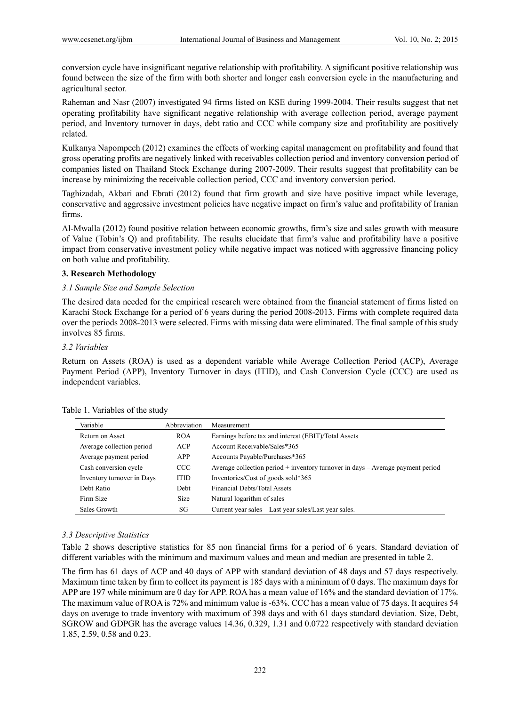conversion cycle have insignificant negative relationship with profitability. A significant positive relationship was found between the size of the firm with both shorter and longer cash conversion cycle in the manufacturing and agricultural sector.

Raheman and Nasr (2007) investigated 94 firms listed on KSE during 1999-2004. Their results suggest that net operating profitability have significant negative relationship with average collection period, average payment period, and Inventory turnover in days, debt ratio and CCC while company size and profitability are positively related.

Kulkanya Napompech (2012) examines the effects of working capital management on profitability and found that gross operating profits are negatively linked with receivables collection period and inventory conversion period of companies listed on Thailand Stock Exchange during 2007-2009. Their results suggest that profitability can be increase by minimizing the receivable collection period, CCC and inventory conversion period.

Taghizadah, Akbari and Ebrati (2012) found that firm growth and size have positive impact while leverage, conservative and aggressive investment policies have negative impact on firm's value and profitability of Iranian firms.

Al-Mwalla (2012) found positive relation between economic growths, firm's size and sales growth with measure of Value (Tobin's Q) and profitability. The results elucidate that firm's value and profitability have a positive impact from conservative investment policy while negative impact was noticed with aggressive financing policy on both value and profitability.

# **3. Research Methodology**

## *3.1 Sample Size and Sample Selection*

The desired data needed for the empirical research were obtained from the financial statement of firms listed on Karachi Stock Exchange for a period of 6 years during the period 2008-2013. Firms with complete required data over the periods 2008-2013 were selected. Firms with missing data were eliminated. The final sample of this study involves 85 firms.

## *3.2 Variables*

Return on Assets (ROA) is used as a dependent variable while Average Collection Period (ACP), Average Payment Period (APP), Inventory Turnover in days (ITID), and Cash Conversion Cycle (CCC) are used as independent variables.

| Variable                   | Abbreviation | Measurement                                                                         |
|----------------------------|--------------|-------------------------------------------------------------------------------------|
| Return on Asset            | <b>ROA</b>   | Earnings before tax and interest (EBIT)/Total Assets                                |
| Average collection period  | ACP          | Account Receivable/Sales*365                                                        |
| Average payment period     | <b>APP</b>   | Accounts Payable/Purchases*365                                                      |
| Cash conversion cycle      | <b>CCC</b>   | Average collection period $+$ inventory turnover in days $-$ Average payment period |
| Inventory turnover in Days | <b>ITID</b>  | Inventories/Cost of goods sold*365                                                  |
| Debt Ratio                 | Debt         | Financial Debts/Total Assets                                                        |
| Firm Size                  | <b>Size</b>  | Natural logarithm of sales                                                          |
| Sales Growth               | SG           | Current year sales – Last year sales/Last year sales.                               |

|  | Table 1. Variables of the study |  |  |
|--|---------------------------------|--|--|
|--|---------------------------------|--|--|

# *3.3 Descriptive Statistics*

Table 2 shows descriptive statistics for 85 non financial firms for a period of 6 years. Standard deviation of different variables with the minimum and maximum values and mean and median are presented in table 2.

The firm has 61 days of ACP and 40 days of APP with standard deviation of 48 days and 57 days respectively. Maximum time taken by firm to collect its payment is 185 days with a minimum of 0 days. The maximum days for APP are 197 while minimum are 0 day for APP. ROA has a mean value of 16% and the standard deviation of 17%. The maximum value of ROA is 72% and minimum value is -63%. CCC has a mean value of 75 days. It acquires 54 days on average to trade inventory with maximum of 398 days and with 61 days standard deviation. Size, Debt, SGROW and GDPGR has the average values 14.36, 0.329, 1.31 and 0.0722 respectively with standard deviation 1.85, 2.59, 0.58 and 0.23.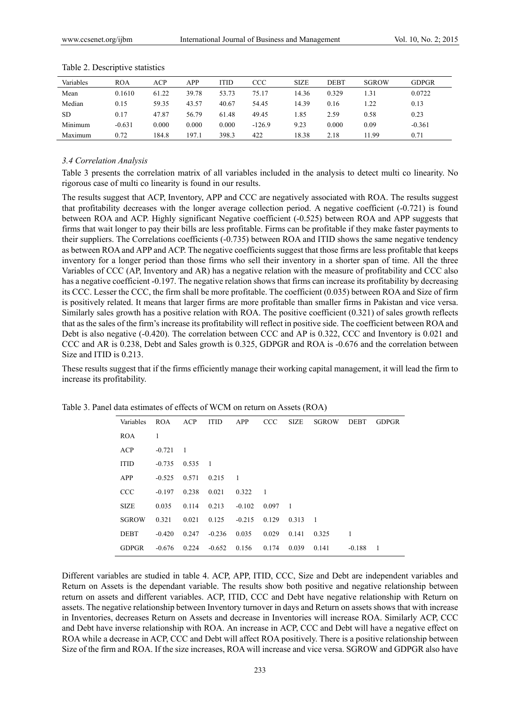| Variables | <b>ROA</b> | ACP   | APP   | <b>ITID</b> | CCC      | <b>SIZE</b> | DEBT  | <b>SGROW</b> | <b>GDPGR</b> |  |
|-----------|------------|-------|-------|-------------|----------|-------------|-------|--------------|--------------|--|
| Mean      | 0.1610     | 61.22 | 39.78 | 53.73       | 75.17    | 14.36       | 0.329 | 1.31         | 0.0722       |  |
| Median    | 0.15       | 59.35 | 43.57 | 40.67       | 54.45    | 14.39       | 0.16  | 1.22         | 0.13         |  |
| <b>SD</b> | 0.17       | 47.87 | 56.79 | 61.48       | 49.45    | 1.85        | 2.59  | 0.58         | 0.23         |  |
| Minimum   | $-0.631$   | 0.000 | 0.000 | 0.000       | $-126.9$ | 9.23        | 0.000 | 0.09         | $-0.361$     |  |
| Maximum   | 0.72       | 184.8 | 197.1 | 398.3       | 422      | 18.38       | 2.18  | 1.99         | 0.71         |  |

Table 2. Descriptive statistics

#### *3.4 Correlation Analysis*

Table 3 presents the correlation matrix of all variables included in the analysis to detect multi co linearity. No rigorous case of multi co linearity is found in our results.

The results suggest that ACP, Inventory, APP and CCC are negatively associated with ROA. The results suggest that profitability decreases with the longer average collection period. A negative coefficient (-0.721) is found between ROA and ACP. Highly significant Negative coefficient (-0.525) between ROA and APP suggests that firms that wait longer to pay their bills are less profitable. Firms can be profitable if they make faster payments to their suppliers. The Correlations coefficients (-0.735) between ROA and ITID shows the same negative tendency as between ROA and APP and ACP. The negative coefficients suggest that those firms are less profitable that keeps inventory for a longer period than those firms who sell their inventory in a shorter span of time. All the three Variables of CCC (AP, Inventory and AR) has a negative relation with the measure of profitability and CCC also has a negative coefficient -0.197. The negative relation shows that firms can increase its profitability by decreasing its CCC. Lesser the CCC, the firm shall be more profitable. The coefficient (0.035) between ROA and Size of firm is positively related. It means that larger firms are more profitable than smaller firms in Pakistan and vice versa. Similarly sales growth has a positive relation with ROA. The positive coefficient (0.321) of sales growth reflects that as the sales of the firm's increase its profitability will reflect in positive side. The coefficient between ROA and Debt is also negative (-0.420). The correlation between CCC and AP is 0.322, CCC and Inventory is 0.021 and CCC and AR is 0.238, Debt and Sales growth is 0.325, GDPGR and ROA is -0.676 and the correlation between Size and ITID is 0.213.

These results suggest that if the firms efficiently manage their working capital management, it will lead the firm to increase its profitability.

| Variables    | <b>ROA</b> | ACP            | <b>ITID</b>    | APP      | <b>CCC</b>     | <b>SIZE</b>    | <b>SGROW</b>   | <b>DEBT</b> | <b>GDPGR</b> |
|--------------|------------|----------------|----------------|----------|----------------|----------------|----------------|-------------|--------------|
| <b>ROA</b>   | 1          |                |                |          |                |                |                |             |              |
| <b>ACP</b>   | $-0.721$   | $\overline{1}$ |                |          |                |                |                |             |              |
| <b>ITID</b>  | $-0.735$   | 0.535          | $\overline{1}$ |          |                |                |                |             |              |
| APP          | $-0.525$   | 0.571          | 0.215          | -1       |                |                |                |             |              |
| <b>CCC</b>   | $-0.197$   | 0.238          | 0.021          | 0.322    | $\overline{1}$ |                |                |             |              |
| <b>SIZE</b>  | 0.035      | 0.114          | 0.213          | $-0.102$ | 0.097          | $\overline{1}$ |                |             |              |
| <b>SGROW</b> | 0.321      | 0.021          | 0.125          | $-0.215$ | 0.129          | 0.313          | $\overline{1}$ |             |              |
| <b>DEBT</b>  | $-0.420$   | 0.247          | $-0.236$       | 0.035    | 0.029          | 0.141          | 0.325          | 1           |              |
| <b>GDPGR</b> | $-0.676$   | 0.224          | $-0.652$       | 0.156    | 0.174          | 0.039          | 0.141          | $-0.188$    | -1           |
|              |            |                |                |          |                |                |                |             |              |

Table 3. Panel data estimates of effects of WCM on return on Assets (ROA)

Different variables are studied in table 4. ACP, APP, ITID, CCC, Size and Debt are independent variables and Return on Assets is the dependant variable. The results show both positive and negative relationship between return on assets and different variables. ACP, ITID, CCC and Debt have negative relationship with Return on assets. The negative relationship between Inventory turnover in days and Return on assets shows that with increase in Inventories, decreases Return on Assets and decrease in Inventories will increase ROA. Similarly ACP, CCC and Debt have inverse relationship with ROA. An increase in ACP, CCC and Debt will have a negative effect on ROA while a decrease in ACP, CCC and Debt will affect ROA positively. There is a positive relationship between Size of the firm and ROA. If the size increases, ROA will increase and vice versa. SGROW and GDPGR also have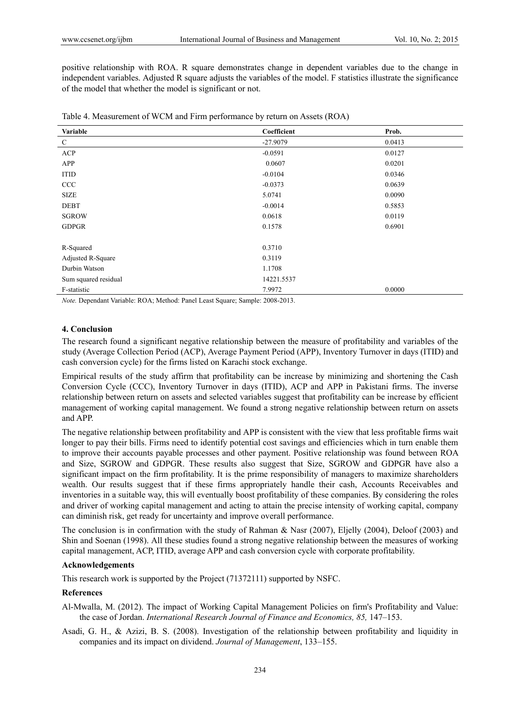positive relationship with ROA. R square demonstrates change in dependent variables due to the change in independent variables. Adjusted R square adjusts the variables of the model. F statistics illustrate the significance of the model that whether the model is significant or not.

| Variable             | Coefficient | Prob.  |
|----------------------|-------------|--------|
| $\mathcal{C}$        | $-27.9079$  | 0.0413 |
| ACP                  | $-0.0591$   | 0.0127 |
| APP                  | 0.0607      | 0.0201 |
| <b>ITID</b>          | $-0.0104$   | 0.0346 |
| CCC                  | $-0.0373$   | 0.0639 |
| <b>SIZE</b>          | 5.0741      | 0.0090 |
| <b>DEBT</b>          | $-0.0014$   | 0.5853 |
| <b>SGROW</b>         | 0.0618      | 0.0119 |
| <b>GDPGR</b>         | 0.1578      | 0.6901 |
|                      |             |        |
| R-Squared            | 0.3710      |        |
| Adjusted R-Square    | 0.3119      |        |
| Durbin Watson        | 1.1708      |        |
| Sum squared residual | 14221.5537  |        |
| F-statistic          | 7.9972      | 0.0000 |

Table 4. Measurement of WCM and Firm performance by return on Assets (ROA)

*Note.* Dependant Variable: ROA; Method: Panel Least Square; Sample: 2008-2013.

## **4. Conclusion**

The research found a significant negative relationship between the measure of profitability and variables of the study (Average Collection Period (ACP), Average Payment Period (APP), Inventory Turnover in days (ITID) and cash conversion cycle) for the firms listed on Karachi stock exchange.

Empirical results of the study affirm that profitability can be increase by minimizing and shortening the Cash Conversion Cycle (CCC), Inventory Turnover in days (ITID), ACP and APP in Pakistani firms. The inverse relationship between return on assets and selected variables suggest that profitability can be increase by efficient management of working capital management. We found a strong negative relationship between return on assets and APP.

The negative relationship between profitability and APP is consistent with the view that less profitable firms wait longer to pay their bills. Firms need to identify potential cost savings and efficiencies which in turn enable them to improve their accounts payable processes and other payment. Positive relationship was found between ROA and Size, SGROW and GDPGR. These results also suggest that Size, SGROW and GDPGR have also a significant impact on the firm profitability. It is the prime responsibility of managers to maximize shareholders wealth. Our results suggest that if these firms appropriately handle their cash, Accounts Receivables and inventories in a suitable way, this will eventually boost profitability of these companies. By considering the roles and driver of working capital management and acting to attain the precise intensity of working capital, company can diminish risk, get ready for uncertainty and improve overall performance.

The conclusion is in confirmation with the study of Rahman & Nasr (2007), Eljelly (2004), Deloof (2003) and Shin and Soenan (1998). All these studies found a strong negative relationship between the measures of working capital management, ACP, ITID, average APP and cash conversion cycle with corporate profitability.

## **Acknowledgements**

This research work is supported by the Project (71372111) supported by NSFC.

## **References**

- Al-Mwalla, M. (2012). The impact of Working Capital Management Policies on firm's Profitability and Value: the case of Jordan. *International Research Journal of Finance and Economics, 85,* 147–153.
- Asadi, G. H., & Azizi, B. S. (2008). Investigation of the relationship between profitability and liquidity in companies and its impact on dividend. *Journal of Management*, 133–155.